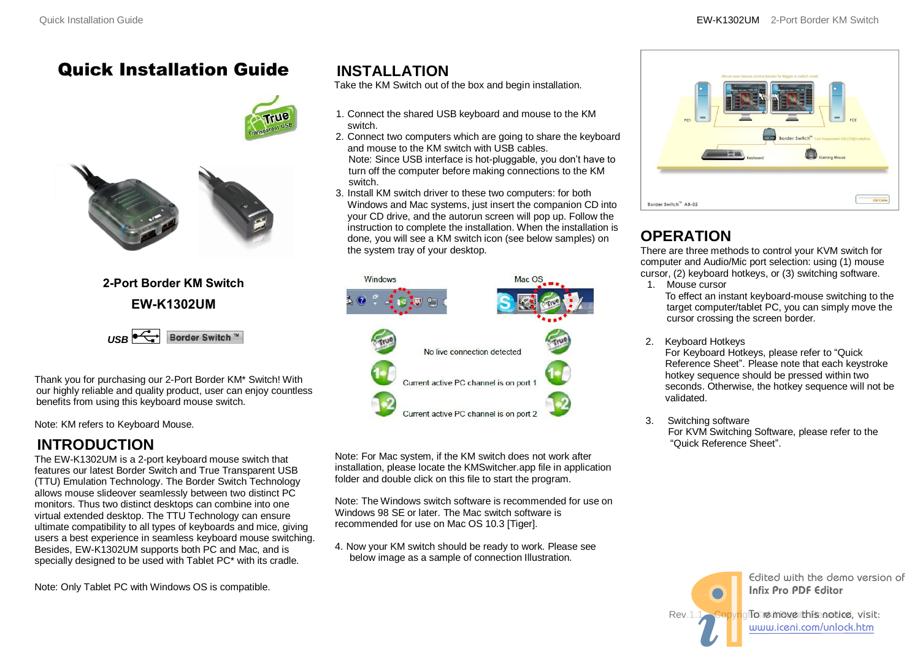## Quick Installation Guide



### **2-Port Border KM Switch EW-K1302UM**



Thank you for purchasing our 2-Port Border KM\* Switch! With our highly reliable and quality product, user can enjoy countless benefits from using this keyboard mouse switch.

Note: KM refers to Keyboard Mouse.

### **INTRODUCTION**

The EW-K1302UM is a 2-port keyboard mouse switch that features our latest Border Switch and True Transparent USB (TTU) Emulation Technology. The Border Switch Technology allows mouse slideover seamlessly between two distinct PC monitors. Thus two distinct desktops can combine into one virtual extended desktop. The TTU Technology can ensure ultimate compatibility to all types of keyboards and mice, giving users a best experience in seamless keyboard mouse switching. Besides, EW-K1302UM supports both PC and Mac, and is specially designed to be used with Tablet PC\* with its cradle.

**INSTALLATION** 

Take the KM Switch out of the box and begin installation.

- 1. Connect the shared USB keyboard and mouse to the KM switch.
- 2. Connect two computers which are going to share the keyboard and mouse to the KM switch with USB cables. Note: Since USB interface is hot-pluggable, you don't have to
- turn off the computer before making connections to the KM switch.
- 3. Install KM switch driver to these two computers: for both Windows and Mac systems, just insert the companion CD into your CD drive, and the autorun screen will pop up. Follow the instruction to complete the installation. When the installation is done, you will see a KM switch icon (see below samples) on the system tray of your desktop.



Note: For Mac system, if the KM switch does not work after installation, please locate the KMSwitcher.app file in application folder and double click on this file to start the program.

Note: The Windows switch software is recommended for use on Windows 98 SE or later. The Mac switch software is recommended for use on Mac OS 10.3 [Tiger].

4. Now your KM switch should be ready to work. Please see below image as a sample of connection Illustration.



# **OPERATION**

There are three methods to control your KVM switch for computer and Audio/Mic port selection: using (1) mouse cursor, (2) keyboard hotkeys, or (3) switching software.

1. Mouse cursor To effect an instant keyboard-mouse switching to the

target computer/tablet PC, you can simply move the cursor crossing the screen border.

- 2. Keyboard Hotkeys For Keyboard Hotkeys, please refer to "Quick Reference Sheet". Please note that each keystroke hotkey sequence should be pressed within two seconds. Otherwise, the hotkey sequence will not be validated.
- 3. Switching software For KVM Switching Software, please refer to the "Quick Reference Sheet".

Rev.1.1 Copyright©re move the Benotice, visit: Edited with the demo version of Infix Pro PDF Editor

www.iceni.com/unlock.htm

Note: Only Tablet PC with Windows OS is compatible.